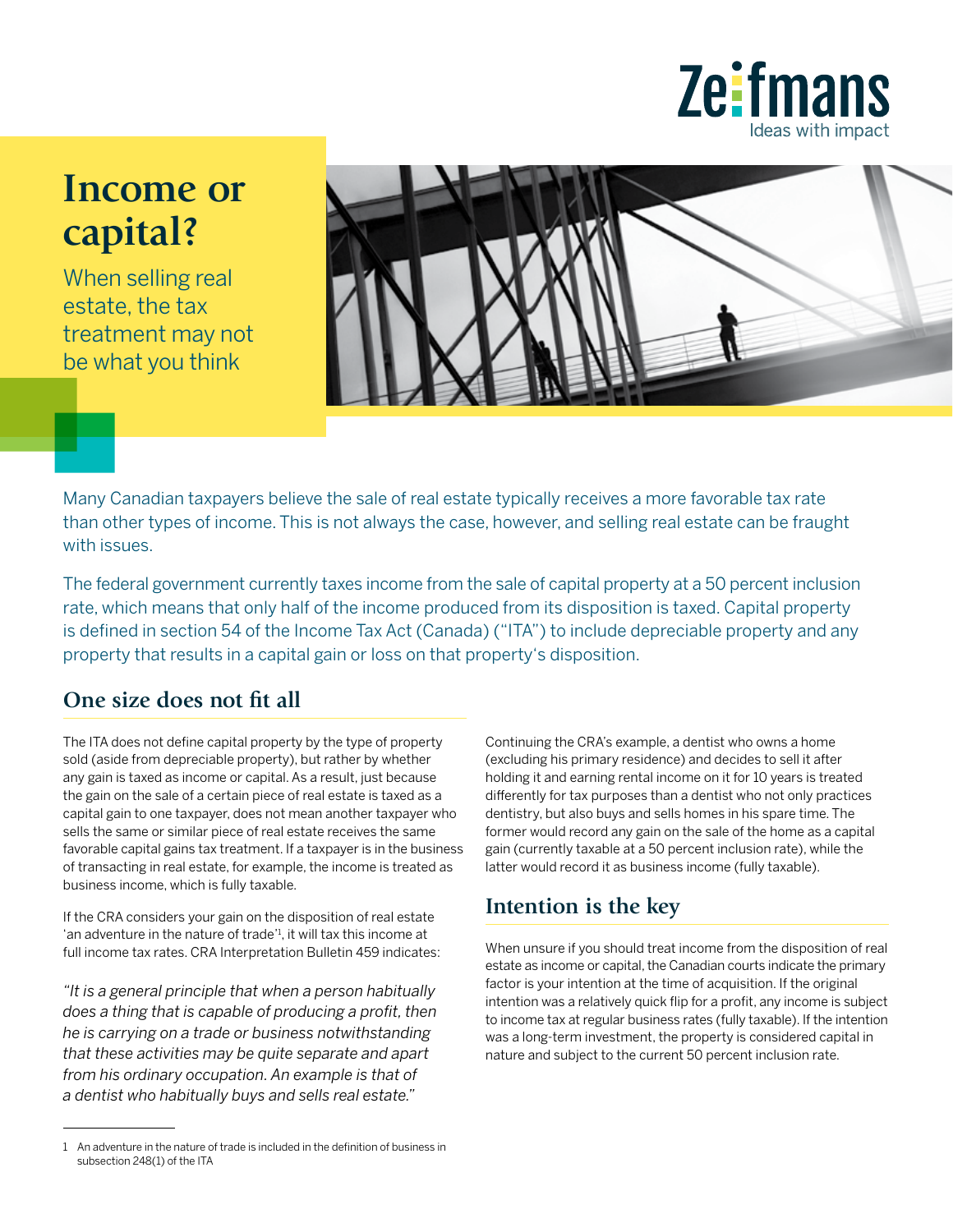

## **Income or capital?**

When selling real estate, the tax treatment may not be what you think



Many Canadian taxpayers believe the sale of real estate typically receives a more favorable tax rate than other types of income. This is not always the case, however, and selling real estate can be fraught with issues.

The federal government currently taxes income from the sale of capital property at a 50 percent inclusion rate, which means that only half of the income produced from its disposition is taxed. Capital property is defined in section 54 of the Income Tax Act (Canada) ("ITA") to include depreciable property and any property that results in a capital gain or loss on that property's disposition.

## **One size does not fit all**

The ITA does not define capital property by the type of property sold (aside from depreciable property), but rather by whether any gain is taxed as income or capital. As a result, just because the gain on the sale of a certain piece of real estate is taxed as a capital gain to one taxpayer, does not mean another taxpayer who sells the same or similar piece of real estate receives the same favorable capital gains tax treatment. If a taxpayer is in the business of transacting in real estate, for example, the income is treated as business income, which is fully taxable.

If the CRA considers your gain on the disposition of real estate 'an adventure in the nature of trade'1 , it will tax this income at full income tax rates. CRA Interpretation Bulletin 459 indicates:

*"It is a general principle that when a person habitually does a thing that is capable of producing a profit, then he is carrying on a trade or business notwithstanding that these activities may be quite separate and apart from his ordinary occupation. An example is that of a dentist who habitually buys and sells real estate."*

Continuing the CRA's example, a dentist who owns a home (excluding his primary residence) and decides to sell it after holding it and earning rental income on it for 10 years is treated differently for tax purposes than a dentist who not only practices dentistry, but also buys and sells homes in his spare time. The former would record any gain on the sale of the home as a capital gain (currently taxable at a 50 percent inclusion rate), while the latter would record it as business income (fully taxable).

## **Intention is the key**

When unsure if you should treat income from the disposition of real estate as income or capital, the Canadian courts indicate the primary factor is your intention at the time of acquisition. If the original intention was a relatively quick flip for a profit, any income is subject to income tax at regular business rates (fully taxable). If the intention was a long-term investment, the property is considered capital in nature and subject to the current 50 percent inclusion rate.

<sup>1</sup> An adventure in the nature of trade is included in the definition of business in subsection 248(1) of the ITA